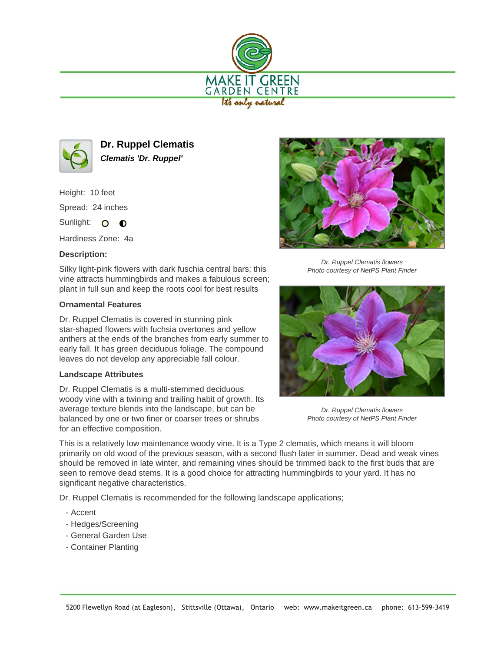



**Dr. Ruppel Clematis Clematis 'Dr. Ruppel'**

Height: 10 feet

Spread: 24 inches

Sunlight: 0 0

Hardiness Zone: 4a

## **Description:**

Silky light-pink flowers with dark fuschia central bars; this vine attracts hummingbirds and makes a fabulous screen; plant in full sun and keep the roots cool for best results

## **Ornamental Features**

Dr. Ruppel Clematis is covered in stunning pink star-shaped flowers with fuchsia overtones and yellow anthers at the ends of the branches from early summer to early fall. It has green deciduous foliage. The compound leaves do not develop any appreciable fall colour.

## **Landscape Attributes**

Dr. Ruppel Clematis is a multi-stemmed deciduous woody vine with a twining and trailing habit of growth. Its average texture blends into the landscape, but can be balanced by one or two finer or coarser trees or shrubs for an effective composition.



Dr. Ruppel Clematis flowers Photo courtesy of NetPS Plant Finder



Dr. Ruppel Clematis flowers Photo courtesy of NetPS Plant Finder

This is a relatively low maintenance woody vine. It is a Type 2 clematis, which means it will bloom primarily on old wood of the previous season, with a second flush later in summer. Dead and weak vines should be removed in late winter, and remaining vines should be trimmed back to the first buds that are seen to remove dead stems. It is a good choice for attracting hummingbirds to your yard. It has no significant negative characteristics.

Dr. Ruppel Clematis is recommended for the following landscape applications;

- Accent
- Hedges/Screening
- General Garden Use
- Container Planting